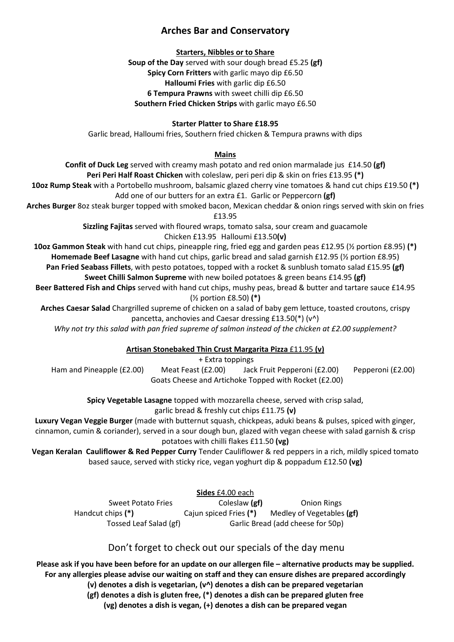# **Arches Bar and Conservatory**

### **Starters, Nibbles or to Share**

**Soup of the Day** served with sour dough bread £5.25 **(gf) Spicy Corn Fritters** with garlic mayo dip £6.50 **Halloumi Fries** with garlic dip £6.50 **6 Tempura Prawns** with sweet chilli dip £6.50 **Southern Fried Chicken Strips** with garlic mayo £6.50

### **Starter Platter to Share £18.95**

Garlic bread, Halloumi fries, Southern fried chicken & Tempura prawns with dips

### **Mains**

**Confit of Duck Leg** served with creamy mash potato and red onion marmalade jus £14.50 **(gf) Peri Peri Half Roast Chicken** with coleslaw, peri peri dip & skin on fries £13.95 **(\*)**

**10oz Rump Steak** with a Portobello mushroom, balsamic glazed cherry vine tomatoes & hand cut chips £19.50 **(\*)** Add one of our butters for an extra £1. Garlic or Peppercorn **(gf)** 

**Arches Burger** 8oz steak burger topped with smoked bacon, Mexican cheddar & onion rings served with skin on fries £13.95

**Sizzling Fajitas** served with floured wraps, tomato salsa, sour cream and guacamole

## Chicken £13.95 Halloumi £13.50**(v)**

**10oz Gammon Steak** with hand cut chips, pineapple ring, fried egg and garden peas £12.95 (½ portion £8.95) **(\*) Homemade Beef Lasagne** with hand cut chips, garlic bread and salad garnish £12.95 (½ portion £8.95)

**Pan Fried Seabass Fillets**, with pesto potatoes, topped with a rocket & sunblush tomato salad £15.95 **(gf)**

# **Sweet Chilli Salmon Supreme** with new boiled potatoes & green beans £14.95 **(gf)**

**Beer Battered Fish and Chips** served with hand cut chips, mushy peas, bread & butter and tartare sauce £14.95 (½ portion £8.50) **(\*)** 

**Arches Caesar Salad** Chargrilled supreme of chicken on a salad of baby gem lettuce, toasted croutons, crispy pancetta, anchovies and Caesar dressing £13.50(\*) (v^)

*Why not try this salad with pan fried supreme of salmon instead of the chicken at £2.00 supplement?* 

# **Artisan Stonebaked Thin Crust Margarita Pizza** £11.95 **(v)**

## + Extra toppings

Ham and Pineapple (£2.00) Meat Feast (£2.00) Jack Fruit Pepperoni (£2.00) Pepperoni (£2.00) Goats Cheese and Artichoke Topped with Rocket (£2.00)

**Spicy Vegetable Lasagne** topped with mozzarella cheese, served with crisp salad,

garlic bread & freshly cut chips £11.75 **(v)**

**Luxury Vegan Veggie Burger** (made with butternut squash, chickpeas, aduki beans & pulses, spiced with ginger, cinnamon, cumin & coriander), served in a sour dough bun, glazed with vegan cheese with salad garnish & crisp

## potatoes with chilli flakes £11.50 **(vg)**

**Vegan Keralan Cauliflower & Red Pepper Curry** Tender Cauliflower & red peppers in a rich, mildly spiced tomato based sauce, served with sticky rice, vegan yoghurt dip & poppadum £12.50 **(vg)**

**Sides** £4.00 each

Sweet Potato Fries **Coleslaw (gf)** Onion Rings Handcut chips **(\*)** Cajun spiced Fries **(\*)** Medley of Vegetables **(gf)** Tossed Leaf Salad (gf) Garlic Bread (add cheese for 50p)

## Don't forget to check out our specials of the day menu

**Please ask if you have been before for an update on our allergen file – alternative products may be supplied. For any allergies please advise our waiting on staff and they can ensure dishes are prepared accordingly (v) denotes a dish is vegetarian, (v^) denotes a dish can be prepared vegetarian** 

**(gf) denotes a dish is gluten free, (\*) denotes a dish can be prepared gluten free** 

**(vg) denotes a dish is vegan, (+) denotes a dish can be prepared vegan**